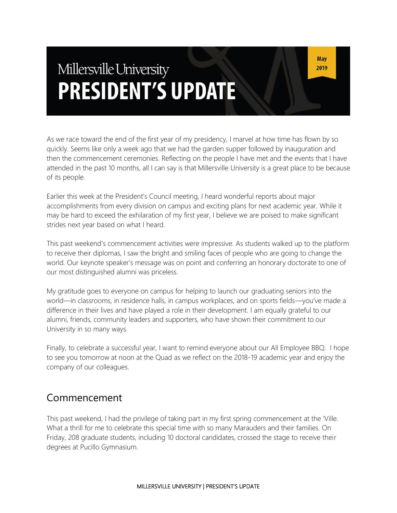# Millersville University **PRESIDENT'S UPDATE**

As we race toward the end of the first year of my presidency, I marvel at how time has flown by so quickly. Seems like only a week ago that we had the garden supper followed by inauguration and then the commencement ceremonies. Reflecting on the people I have met and the events that I have attended in the past 10 months, all I can say is that Millersville University is a great place to be because of its people.

Earlier this week at the President's Council meeting, I heard wonderful reports about major accomplishments from every division on campus and exciting plans for next academic year. While it may be hard to exceed the exhilaration of my first year, I believe we are poised to make significant strides next year based on what I heard.

This past weekend's commencement activities were impressive. As students walked up to the platform to receive their diplomas, I saw the bright and smiling faces of people who are going to change the world. Our keynote speaker's message was on point and conferring an honorary doctorate to one of our most distinguished alumni was priceless.

My gratitude goes to everyone on campus for helping to launch our graduating seniors into the world—in classrooms, in residence halls, in campus workplaces, and on sports fields—you've made a difference in their lives and have played a role in their development. I am equally grateful to our alumni, friends, community leaders and supporters, who have shown their commitment to our University in so many ways.

Finally, to celebrate a successful year, I want to remind everyone about our All Employee BBQ. I hope to see you tomorrow at noon at the Quad as we reflect on the 2018-19 academic year and enjoy the company of our colleagues.

#### Commencement

This past weekend, I had the privilege of taking part in my first spring commencement at the 'Ville. What a thrill for me to celebrate this special time with so many Marauders and their families. On Friday, 208 graduate students, including 10 doctoral candidates, crossed the stage to receive their degrees at Pucillo Gymnasium.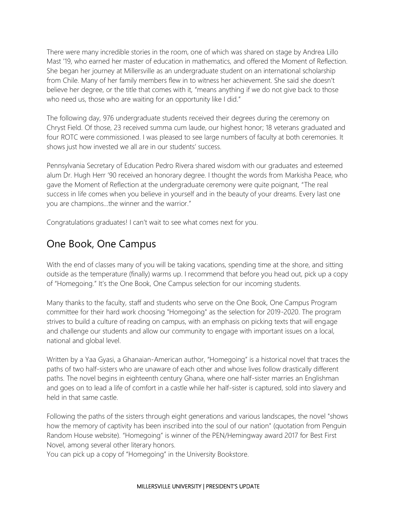There were many incredible stories in the room, one of which was shared on stage by Andrea Lillo Mast '19, who earned her master of education in mathematics, and offered the Moment of Reflection. She began her journey at Millersville as an undergraduate student on an international scholarship from Chile. Many of her family members flew in to witness her achievement. She said she doesn't believe her degree, or the title that comes with it, "means anything if we do not give back to those who need us, those who are waiting for an opportunity like I did."

The following day, 976 undergraduate students received their degrees during the ceremony on Chryst Field. Of those, 23 received summa cum laude, our highest honor; 18 veterans graduated and four ROTC were commissioned. I was pleased to see large numbers of faculty at both ceremonies. It shows just how invested we all are in our students' success.

Pennsylvania Secretary of Education Pedro Rivera shared wisdom with our graduates and esteemed alum Dr. Hugh Herr '90 received an honorary degree. I thought the words from Markisha Peace, who gave the Moment of Reflection at the undergraduate ceremony were quite poignant, "The real success in life comes when you believe in yourself and in the beauty of your dreams. Every last one you are champions...the winner and the warrior."

Congratulations graduates! I can't wait to see what comes next for you.

#### One Book, One Campus

With the end of classes many of you will be taking vacations, spending time at the shore, and sitting outside as the temperature (finally) warms up. I recommend that before you head out, pick up a copy of "Homegoing." It's the One Book, One Campus selection for our incoming students.

Many thanks to the faculty, staff and students who serve on the One Book, One Campus Program committee for their hard work choosing "Homegoing" as the selection for 2019-2020. The program strives to build a culture of reading on campus, with an emphasis on picking texts that will engage and challenge our students and allow our community to engage with important issues on a local, national and global level.

Written by a Yaa Gyasi, a Ghanaian-American author, "Homegoing" is a historical novel that traces the paths of two half-sisters who are unaware of each other and whose lives follow drastically different paths. The novel begins in eighteenth century Ghana, where one half-sister marries an Englishman and goes on to lead a life of comfort in a castle while her half-sister is captured, sold into slavery and held in that same castle.

Following the paths of the sisters through eight generations and various landscapes, the novel "shows how the memory of captivity has been inscribed into the soul of our nation" (quotation from Penguin Random House website). "Homegoing" is winner of the PEN/Hemingway award 2017 for Best First Novel, among several other literary honors.

You can pick up a copy of "Homegoing" in the University Bookstore.

#### MILLERSVILLE UNIVERSITY | PRESIDENT'S UPDATE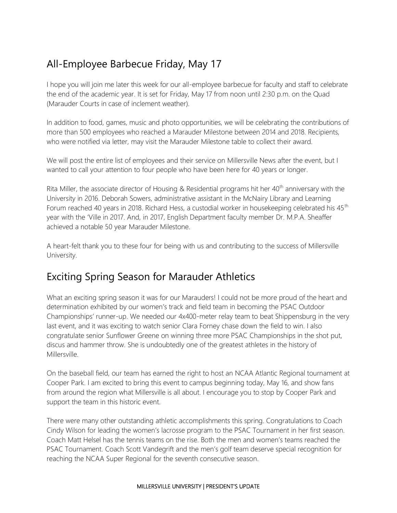## All-Employee Barbecue Friday, May 17

I hope you will join me later this week for our all-employee barbecue for faculty and staff to celebrate the end of the academic year. It is set for Friday, May 17 from noon until 2:30 p.m. on the Quad (Marauder Courts in case of inclement weather).

In addition to food, games, music and photo opportunities, we will be celebrating the contributions of more than 500 employees who reached a Marauder Milestone between 2014 and 2018. Recipients, who were notified via letter, may visit the Marauder Milestone table to collect their award.

We will post the entire list of employees and their service on Millersville News after the event, but I wanted to call your attention to four people who have been here for 40 years or longer.

Rita Miller, the associate director of Housing & Residential programs hit her 40<sup>th</sup> anniversary with the University in 2016. Deborah Sowers, administrative assistant in the McNairy Library and Learning Forum reached 40 years in 2018. Richard Hess, a custodial worker in housekeeping celebrated his 45<sup>th</sup> year with the 'Ville in 2017. And, in 2017, English Department faculty member Dr. M.P.A. Sheaffer achieved a notable 50 year Marauder Milestone.

A heart-felt thank you to these four for being with us and contributing to the success of Millersville University.

### Exciting Spring Season for Marauder Athletics

What an exciting spring season it was for our Marauders! I could not be more proud of the heart and determination exhibited by our women's track and field team in becoming the PSAC Outdoor Championships' runner-up. We needed our 4x400-meter relay team to beat Shippensburg in the very last event, and it was exciting to watch senior Clara Forney chase down the field to win. I also congratulate senior Sunflower Greene on winning three more PSAC Championships in the shot put, discus and hammer throw. She is undoubtedly one of the greatest athletes in the history of Millersville.

On the baseball field, our team has earned the right to host an NCAA Atlantic Regional tournament at Cooper Park. I am excited to bring this event to campus beginning today, May 16, and show fans from around the region what Millersville is all about. I encourage you to stop by Cooper Park and support the team in this historic event.

There were many other outstanding athletic accomplishments this spring. Congratulations to Coach Cindy Wilson for leading the women's lacrosse program to the PSAC Tournament in her first season. Coach Matt Helsel has the tennis teams on the rise. Both the men and women's teams reached the PSAC Tournament. Coach Scott Vandegrift and the men's golf team deserve special recognition for reaching the NCAA Super Regional for the seventh consecutive season.

#### MILLERSVILLE UNIVERSITY | PRESIDENT'S UPDATE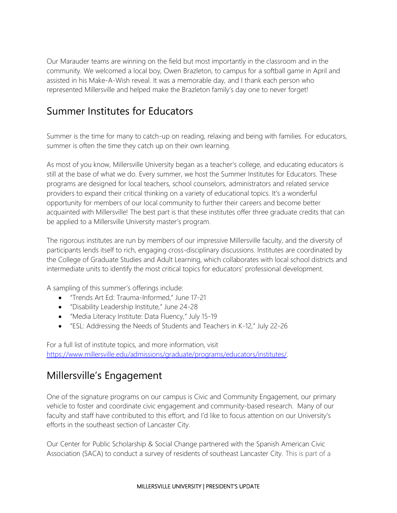Our Marauder teams are winning on the field but most importantly in the classroom and in the community. We welcomed a local boy, Owen Brazleton, to campus for a softball game in April and assisted in his Make-A-Wish reveal. It was a memorable day, and I thank each person who represented Millersville and helped make the Brazleton family's day one to never forget!

#### Summer Institutes for Educators

Summer is the time for many to catch-up on reading, relaxing and being with families. For educators, summer is often the time they catch up on their own learning.

As most of you know, Millersville University began as a teacher's college, and educating educators is still at the base of what we do. Every summer, we host the Summer Institutes for Educators. These programs are designed for local teachers, school counselors, administrators and related service providers to expand their critical thinking on a variety of educational topics. It's a wonderful opportunity for members of our local community to further their careers and become better acquainted with Millersville! The best part is that these institutes offer three graduate credits that can be applied to a Millersville University master's program.

The rigorous institutes are run by members of our impressive Millersville faculty, and the diversity of participants lends itself to rich, engaging cross-disciplinary discussions. Institutes are coordinated by the College of Graduate Studies and Adult Learning, which collaborates with local school districts and intermediate units to identify the most critical topics for educators' professional development.

A sampling of this summer's offerings include:

- "Trends Art Ed: Trauma-Informed," June 17-21
- "Disability Leadership Institute," June 24-28
- "Media Literacy Institute: Data Fluency," July 15-19
- "ESL: Addressing the Needs of Students and Teachers in K-12," July 22-26

For a full list of institute topics, and more information, visit [https://www.millersville.edu/admissions/graduate/programs/educators/institutes/.](https://www.millersville.edu/admissions/graduate/programs/educators/institutes/)

### Millersville's Engagement

One of the signature programs on our campus is Civic and Community Engagement, our primary vehicle to foster and coordinate civic engagement and community-based research. Many of our faculty and staff have contributed to this effort, and I'd like to focus attention on our University's efforts in the southeast section of Lancaster City.

Our Center for Public Scholarship & Social Change partnered with the Spanish American Civic Association (SACA) to conduct a survey of residents of southeast Lancaster City. This is part of a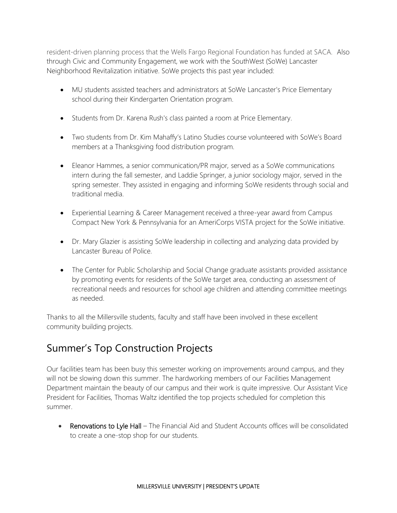resident-driven planning process that the Wells Fargo Regional Foundation has funded at SACA. Also through Civic and Community Engagement, we work with the SouthWest (SoWe) Lancaster Neighborhood Revitalization initiative. SoWe projects this past year included:

- MU students assisted teachers and administrators at SoWe Lancaster's Price Elementary school during their Kindergarten Orientation program.
- Students from Dr. Karena Rush's class painted a room at Price Elementary.
- Two students from Dr. Kim Mahaffy's Latino Studies course volunteered with SoWe's Board members at a Thanksgiving food distribution program.
- Eleanor Hammes, a senior communication/PR major, served as a SoWe communications intern during the fall semester, and Laddie Springer, a junior sociology major, served in the spring semester. They assisted in engaging and informing SoWe residents through social and traditional media.
- Experiential Learning & Career Management received a three-year award from Campus Compact New York & Pennsylvania for an AmeriCorps VISTA project for the SoWe initiative.
- Dr. Mary Glazier is assisting SoWe leadership in collecting and analyzing data provided by Lancaster Bureau of Police.
- The Center for Public Scholarship and Social Change graduate assistants provided assistance by promoting events for residents of the SoWe target area, conducting an assessment of recreational needs and resources for school age children and attending committee meetings as needed.

Thanks to all the Millersville students, faculty and staff have been involved in these excellent community building projects.

## Summer's Top Construction Projects

Our facilities team has been busy this semester working on improvements around campus, and they will not be slowing down this summer. The hardworking members of our Facilities Management Department maintain the beauty of our campus and their work is quite impressive. Our Assistant Vice President for Facilities, Thomas Waltz identified the top projects scheduled for completion this summer.

• Renovations to Lyle Hall – The Financial Aid and Student Accounts offices will be consolidated to create a one-stop shop for our students.